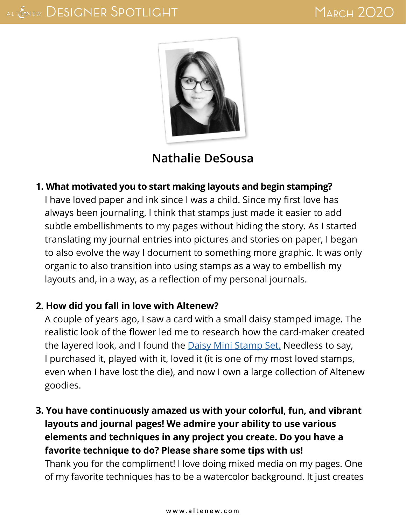

# **[Nathalie DeSousa](tachita55.blogspot.com)**

#### **1. What motivated you to start making layouts and begin stamping?**

I have loved paper and ink since I was a child. Since my first love has always been journaling, I think that stamps just made it easier to add subtle embellishments to my pages without hiding the story. As I started translating my journal entries into pictures and stories on paper, I began to also evolve the way I document to something more graphic. It was only organic to also transition into using stamps as a way to embellish my layouts and, in a way, as a reflection of my personal journals.

#### **2. How did you fall in love with Altenew?**

A couple of years ago, I saw a card with a small daisy stamped image. The realistic look of the flower led me to research how the card-maker created the layered look, and I found the [Daisy Mini Stamp Set.](https://altenew.com/products/daisy) Needless to say, I purchased it, played with it, loved it (it is one of my most loved stamps, even when I have lost the die), and now I own a large collection of Altenew goodies.

# **3. You have continuously amazed us with your colorful, fun, and vibrant layouts and journal pages! We admire your ability to use various elements and techniques in any project you create. Do you have a favorite technique to do? Please share some tips with us!**

Thank you for the compliment! I love doing mixed media on my pages. One of my favorite techniques has to be a watercolor background. It just creates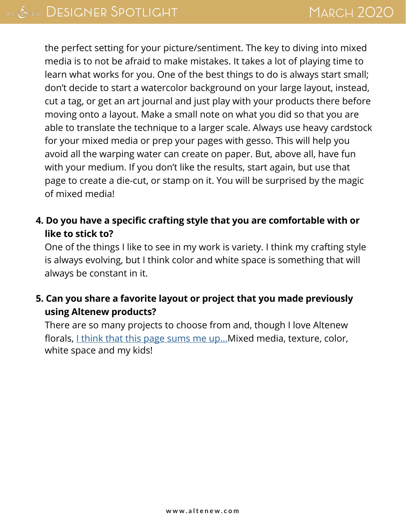the perfect setting for your picture/sentiment. The key to diving into mixed media is to not be afraid to make mistakes. It takes a lot of playing time to learn what works for you. One of the best things to do is always start small; don't decide to start a watercolor background on your large layout, instead, cut a tag, or get an art journal and just play with your products there before moving onto a layout. Make a small note on what you did so that you are able to translate the technique to a larger scale. Always use heavy cardstock for your mixed media or prep your pages with gesso. This will help you avoid all the warping water can create on paper. But, above all, have fun with your medium. If you don't like the results, start again, but use that page to create a die-cut, or stamp on it. You will be surprised by the magic of mixed media!

## **4. Do you have a specific crafting style that you are comfortable with or like to stick to?**

One of the things I like to see in my work is variety. I think my crafting style is always evolving, but I think color and white space is something that will always be constant in it.

# **5. Can you share a favorite layout or project that you made previously using Altenew products?**

There are so many projects to choose from and, though I love Altenew florals, *Lthink that this page sums me up...* Mixed media, texture, color, white space and my kids!